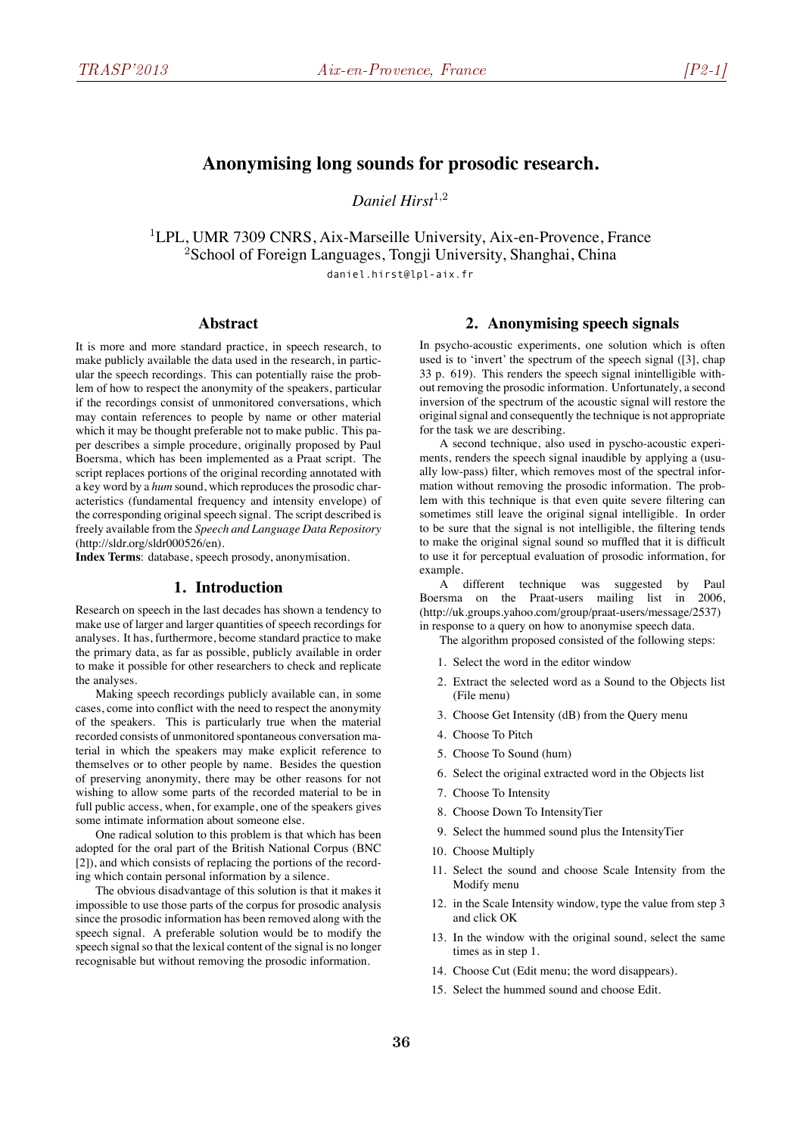# **Anonymising long sounds for prosodic research.**

*Daniel Hirst*<sup>1</sup>*,*<sup>2</sup>

<sup>1</sup>LPL, UMR 7309 CNRS, Aix-Marseille University, Aix-en-Provence, France <sup>2</sup>School of Foreign Languages, Tongji University, Shanghai, China daniel.hirst@lpl-aix.fr

#### **Abstract**

It is more and more standard practice, in speech research, to make publicly available the data used in the research, in particular the speech recordings. This can potentially raise the problem of how to respect the anonymity of the speakers, particular if the recordings consist of unmonitored conversations, which may contain references to people by name or other material which it may be thought preferable not to make public. This paper describes a simple procedure, originally proposed by Paul Boersma, which has been implemented as a Praat script. The script replaces portions of the original recording annotated with a key word by a *hum* sound, which reproduces the prosodic characteristics (fundamental frequency and intensity envelope) of the corresponding original speech signal. The script described is freely available from the *Speech and Language Data Repository* (http://sldr.org/sldr000526/en).

**Index Terms**: database, speech prosody, anonymisation.

### **1. Introduction**

Research on speech in the last decades has shown a tendency to make use of larger and larger quantities of speech recordings for analyses. It has, furthermore, become standard practice to make the primary data, as far as possible, publicly available in order to make it possible for other researchers to check and replicate the analyses.

Making speech recordings publicly available can, in some cases, come into conflict with the need to respect the anonymity of the speakers. This is particularly true when the material recorded consists of unmonitored spontaneous conversation material in which the speakers may make explicit reference to themselves or to other people by name. Besides the question of preserving anonymity, there may be other reasons for not wishing to allow some parts of the recorded material to be in full public access, when, for example, one of the speakers gives some intimate information about someone else.

One radical solution to this problem is that which has been adopted for the oral part of the British National Corpus (BNC [2]), and which consists of replacing the portions of the recording which contain personal information by a silence.

The obvious disadvantage of this solution is that it makes it impossible to use those parts of the corpus for prosodic analysis since the prosodic information has been removed along with the speech signal. A preferable solution would be to modify the speech signal so that the lexical content of the signal is no longer recognisable but without removing the prosodic information.

#### **2. Anonymising speech signals**

In psycho-acoustic experiments, one solution which is often used is to 'invert' the spectrum of the speech signal ([3], chap 33 p. 619). This renders the speech signal inintelligible without removing the prosodic information. Unfortunately, a second inversion of the spectrum of the acoustic signal will restore the original signal and consequently the technique is not appropriate for the task we are describing.

A second technique, also used in pyscho-acoustic experiments, renders the speech signal inaudible by applying a (usually low-pass) filter, which removes most of the spectral information without removing the prosodic information. The problem with this technique is that even quite severe filtering can sometimes still leave the original signal intelligible. In order to be sure that the signal is not intelligible, the filtering tends to make the original signal sound so muffled that it is difficult to use it for perceptual evaluation of prosodic information, for example.

A different technique was suggested by Paul Boersma on the Praat-users mailing list in 2006, (http://uk.groups.yahoo.com/group/praat-users/message/2537) in response to a query on how to anonymise speech data.

The algorithm proposed consisted of the following steps:

- 1. Select the word in the editor window
- 2. Extract the selected word as a Sound to the Objects list (File menu)
- 3. Choose Get Intensity (dB) from the Query menu
- 4. Choose To Pitch
- 5. Choose To Sound (hum)
- 6. Select the original extracted word in the Objects list
- 7. Choose To Intensity
- 8. Choose Down To IntensityTier
- 9. Select the hummed sound plus the IntensityTier
- 10. Choose Multiply
- 11. Select the sound and choose Scale Intensity from the Modify menu
- 12. in the Scale Intensity window, type the value from step 3 and click OK
- 13. In the window with the original sound, select the same times as in step 1.
- 14. Choose Cut (Edit menu; the word disappears).
- 15. Select the hummed sound and choose Edit.